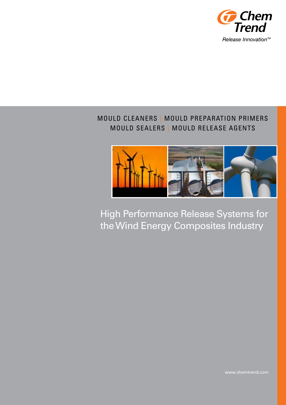

# MOULD CLEANERS | MOULD PREPARATION PRIMERS MOULD SEALERS | MOULD RELEASE AGENTS

I



High Performance Release Systems for the Wind Energy Composites Industry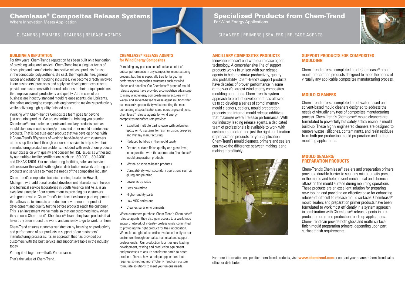## **CHEMLEASE® RELEASE AGENTS for Wind Energy Composites**

Demolding any part can be defined as a point of critical performance in any composites manufacturing process, but this is especially true for large, high performance composites structures such as wind blades and nacelles. Our Chemlease® brand of mould release agents have provided a competitive advantage to many wind energy composite manufacturers with water- and solvent-based release agent solutions that can maximize productivity whist meeting the most demanding of specifications and operating conditions. Chemlease® release agents for wind energy composites manufacturers provide:

- • Excellent multiple part release with polyester, epoxy or PU systems for resin infusion, pre-preg and wet lay manufacturing
- Reduced build-up in the mould cavity
- Optimal surface finish quality and gloss level. in conjunction with the appropriate Chemlease® mould preparation products
- Water- or solvent-based products
- • Compatibility with secondary operations such as gluing and painting
- Lower scrap rates
- Less downtime
- **Higher quality parts**
- Low VOC emissions
- • Cleaner, safer environments

For fifty years, Chem-Trend's reputation has been built on a foundation of providing value and service. Chem-Trend has a singular focus of developing and manufacturing innovative release products for use in the composite, polyurethane, die cast, thermoplastic, tire, general rubber and rotational moulding industries. We become directly involved in our customers' processes and apply our development expertise to provide our customers with tailored solutions to their unique problems that improve overall productivity and quality. At the core of our business are industry-standard mould release agents, die lubricants, tire paints and purging compounds engineered to maximize productivity while delivering high-quality finished parts.

> When customers purchase Chem-Trend's Chemlease® release agents, they also gain access to a worldwide support network of industry professionals committed to providing the right product for their application. We make our global expertise available locally to our customers through our sales, technical and support professionals. Our production facilities use leading development, testing and production equipment and processes to assure consistent batch-to-batch products. Do you have a unique application that requires something more? Chem-Trend can custom formulate solutions to meet your unique needs.

# Chemlease® Composites Release Systems

Where Innovation Meets Application

# Specialized Products from Chem-Trend

**For Wind Energy Applications** 

For more information on specific Chem-Trend products, visit **www.chemtrend.com** or contact your nearest Chem-Trend sales office or distributor.



# **BUILDING A REPUTATION**

Working with Chem-Trend's Composites team goes far beyond just obtaining product. We are committed to bringing you premier Chemlease® mould release agents and ancillary products such as mould cleaners, mould sealers/primers and other mould maintenance products. That is because each product that we develop brings with it Chem-Trend's fifty years of working hand-in-hand with customers at the shop floor level through our on-site service to help solve their manufacturing production problems. Included with each of our products is our obsession with quality and concern for HSE issues as witnessed by our multiple facility certifications such as: ISO-9001, ISO-14001 and OHSAS 18001. Our manufacturing facilities, sales and service offices cover the world, with a global distribution network offering our products and services to meet the needs of the composites industry.

Chem-Trend's composites technical centre, located in Howell, Michigan, with additional product development laboratories in Europe and technical service laboratories in South America and Asia, is an excellent example of our commitment to providing our customers with greater value. Chem-Trend's test facilities house pilot equipment that allows us to simulate a production environment for product development and quality testing before products reach the customer. This is an investment we've made so that our customers know when they choose Chem-Trend's Chemlease® brand they have products that have truly been around the world and are ready to go to work for them.

Chem-Trend ensures customer satisfaction by focusing on productivity and performance of our products in support of our customers' manufacturing processes. It's an approach that has provided our customers with the best service and support available in the industry today.

Putting it all together—that's Performance.

That's the value of Chem-Trend.

# CLEANERS | PRIMERS | SEALERS | RELEASE AGENTS



# **ANCILLARY COMPOSITES PRODUCTS**

Innovation doesn't end with our release agent technology. A comprehensive line of support products works in unison with our release agents to help maximize productivity, quality and profitability. Chem-Trend's support products have decades of proven performance in some of the world's largest wind energy composites moulding operations. Chem-Trend's system approach to product development has allowed us to co-develop a series of complimentary mould cleaners, sealers, mould preparation products and internal mould release additives that maximize overall release performance. With our industry leading release agents, a dedicated team of professionals is available to work with customers to determine just the right combination of preparation products for your application. Chem-Trend's mould cleaners, primers and sealers can make the difference between making it and making it profitably.



# **Support PRODUCTS for COMPOSITES moUlding**

# **mould cleaners**

## **mould sealers/ preparation products**

Chem-Trend offers a complete line of water-based and solvent-based mould cleaners designed to address the needs of virtually any type of composites manufacturing process. Chem-Trend's Chemlease® mould cleaners are formulated to powerfully but safely attack resinous mould build-up. These highly engineered cleaners are designed to remove waxes, silicones, contaminants, and resin residues from both pre-production mould preparation and in-line moulding applications.

Chem-Trend's Chemlease® sealers and preparation primers provide a durable barrier to seal any microporosity present in the mould and help prevent mechanical and chemical attack on the mould surface during moulding operations. These products are an excellent solution for preparing new tooling and providing an effective base for enhancing release of difficult to release mould surfaces. Chemlease® mould sealers and preparation primer products have been formulated to work most efficiently in a system approach in combination with Chemlease® release agents in preproduction or in-line production touch-up applications. Chem-Trend can provide both gloss and matte surface finish mould preparation primers, depending upon part surface finish requirements.

# CLEANERS | PRIMERS | SEALERS | RELEASE AGENTS

Chem-Trend offers a complete line of Chemlease® brand mould preparation products designed to meet the needs of virtually any applicable composites manufacturing process.